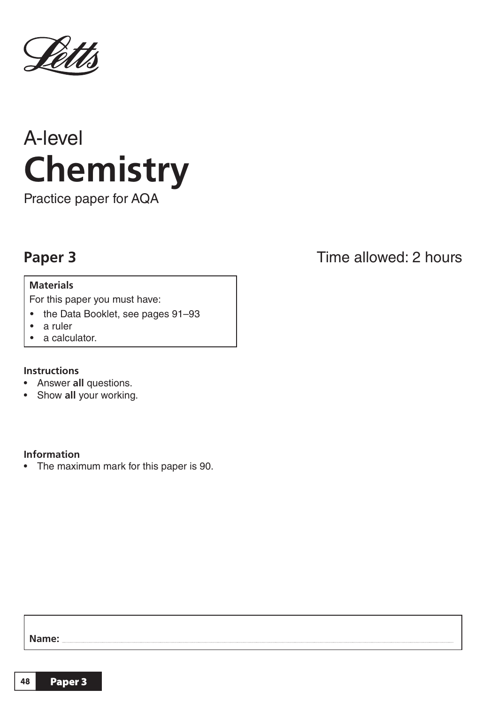

# A-level **Chemistry**

Practice paper for AQA

## **Paper 3**

### **Materials**

For this paper you must have:

- the Data Booklet, see pages 91–93
- a ruler
- a calculator.

#### **Instructions**

- Answer **all** questions.
- Show **all** your working.

#### **Information**

• The maximum mark for this paper is 90.

## Time allowed: 2 hours

**Name:**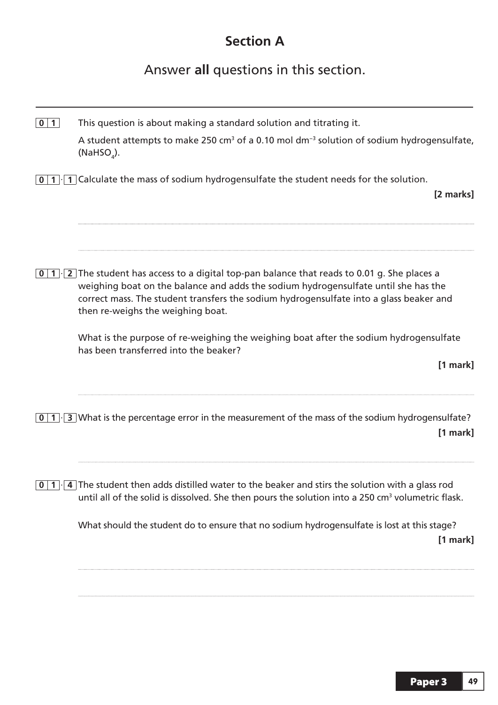## **Section A**

Answer **all** questions in this section.

| $0 \mid 1$               | This question is about making a standard solution and titrating it.<br>A student attempts to make 250 $cm3$ of a 0.10 mol dm <sup>-3</sup> solution of sodium hydrogensulfate,<br>(NaHSO <sub><math>a</math></sub> ).                                                                                         |
|--------------------------|---------------------------------------------------------------------------------------------------------------------------------------------------------------------------------------------------------------------------------------------------------------------------------------------------------------|
| $0 \mid 1 \mid \cdot$    | 1 Calculate the mass of sodium hydrogensulfate the student needs for the solution.<br>[2 marks]                                                                                                                                                                                                               |
| $\bf{0}$<br>1            | 2 The student has access to a digital top-pan balance that reads to 0.01 g. She places a<br>weighing boat on the balance and adds the sodium hydrogensulfate until she has the<br>correct mass. The student transfers the sodium hydrogensulfate into a glass beaker and<br>then re-weighs the weighing boat. |
|                          | What is the purpose of re-weighing the weighing boat after the sodium hydrogensulfate<br>has been transferred into the beaker?<br>[1 mark]                                                                                                                                                                    |
| $\bf{0}$<br>$\mathbf{1}$ | 3 What is the percentage error in the measurement of the mass of the sodium hydrogensulfate?<br>[1 mark]                                                                                                                                                                                                      |
|                          | $\overline{0}$ 1. $\overline{4}$ The student then adds distilled water to the beaker and stirs the solution with a glass rod<br>until all of the solid is dissolved. She then pours the solution into a 250 cm <sup>3</sup> volumetric flask.                                                                 |
|                          | What should the student do to ensure that no sodium hydrogensulfate is lost at this stage?<br>[1 mark]                                                                                                                                                                                                        |
|                          |                                                                                                                                                                                                                                                                                                               |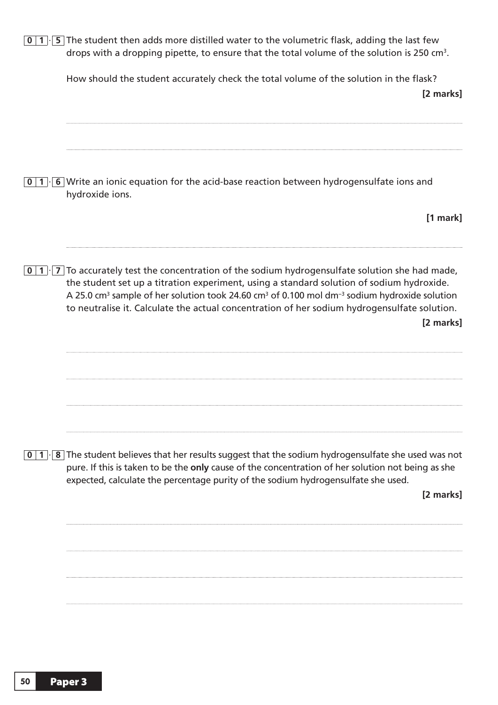| $\mathbf 0$           | $1$ $\cdot$ 5 The student then adds more distilled water to the volumetric flask, adding the last few<br>drops with a dropping pipette, to ensure that the total volume of the solution is 250 cm <sup>3</sup> .                                                                                                                                                                                                                                                |
|-----------------------|-----------------------------------------------------------------------------------------------------------------------------------------------------------------------------------------------------------------------------------------------------------------------------------------------------------------------------------------------------------------------------------------------------------------------------------------------------------------|
|                       | How should the student accurately check the total volume of the solution in the flask?<br>[2 marks]                                                                                                                                                                                                                                                                                                                                                             |
| $\vert$ 1<br>$\bf{0}$ | 6 Write an ionic equation for the acid-base reaction between hydrogensulfate ions and<br>hydroxide ions.                                                                                                                                                                                                                                                                                                                                                        |
|                       | $[1$ mark]                                                                                                                                                                                                                                                                                                                                                                                                                                                      |
|                       | $\vert 0 \vert 1 \vert$ To accurately test the concentration of the sodium hydrogensulfate solution she had made,<br>the student set up a titration experiment, using a standard solution of sodium hydroxide.<br>A 25.0 cm <sup>3</sup> sample of her solution took 24.60 cm <sup>3</sup> of 0.100 mol dm <sup>-3</sup> sodium hydroxide solution<br>to neutralise it. Calculate the actual concentration of her sodium hydrogensulfate solution.<br>[2 marks] |
|                       |                                                                                                                                                                                                                                                                                                                                                                                                                                                                 |
| $\vert$ 1<br>$\bf{0}$ | $\cdot$ 8 The student believes that her results suggest that the sodium hydrogensulfate she used was not<br>pure. If this is taken to be the only cause of the concentration of her solution not being as she<br>expected, calculate the percentage purity of the sodium hydrogensulfate she used.<br>[2 marks]                                                                                                                                                 |
|                       |                                                                                                                                                                                                                                                                                                                                                                                                                                                                 |
|                       |                                                                                                                                                                                                                                                                                                                                                                                                                                                                 |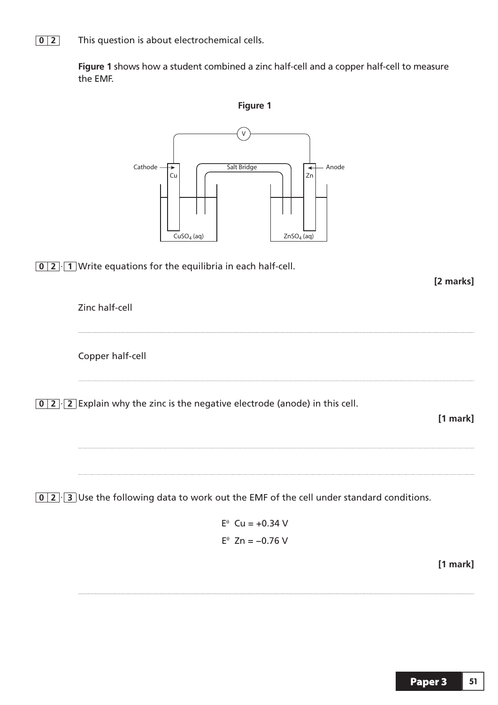**0 2** This question is about electrochemical cells.

 **Figure 1** shows how a student combined a zinc half-cell and a copper half-cell to measure the EMF.

**Figure 1**



 $\boxed{0}$   $\boxed{2}$   $\boxed{1}$  Write equations for the equilibria in

**[2 marks]**

 Zinc half-cell Copper half-cell **0 2** · **2** Explain why the zinc is the negative electrode (anode) in this cell. **[1 mark]** 

**0 2** · **3** Use the following data to work out the EMF of the cell under standard conditions.

 $E^{\theta}$  Cu = +0.34 V  $E^{\theta}$  Zn = -0.76 V

**[1 mark]**

**Paper 3 | 51**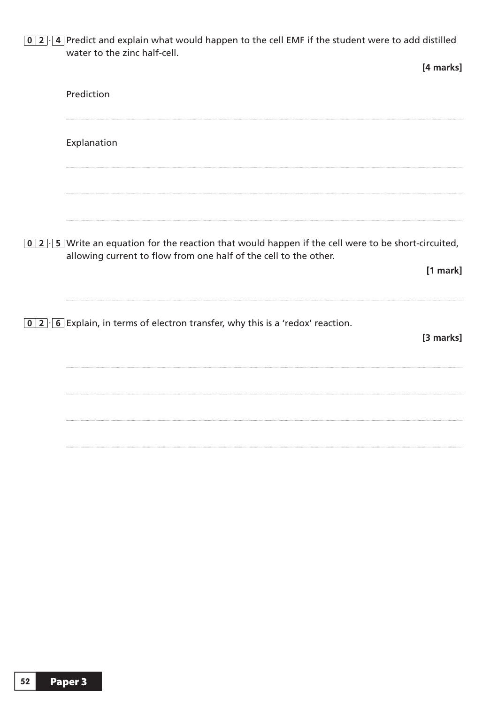**0 2** · **4** Predict and explain what would happen to the cell EMF if the student were to add distilled water to the zinc half-cell.

|                                                                                                                                                                                             | [4 marks]  |
|---------------------------------------------------------------------------------------------------------------------------------------------------------------------------------------------|------------|
| Prediction                                                                                                                                                                                  |            |
| Explanation                                                                                                                                                                                 |            |
|                                                                                                                                                                                             |            |
| $\boxed{0}$ 2. $\boxed{5}$ Write an equation for the reaction that would happen if the cell were to be short-circuited,<br>allowing current to flow from one half of the cell to the other. | $[1$ mark] |
| $\boxed{0}$ 2 $\boxed{6}$ Explain, in terms of electron transfer, why this is a 'redox' reaction.                                                                                           | [3 marks]  |
|                                                                                                                                                                                             |            |
|                                                                                                                                                                                             |            |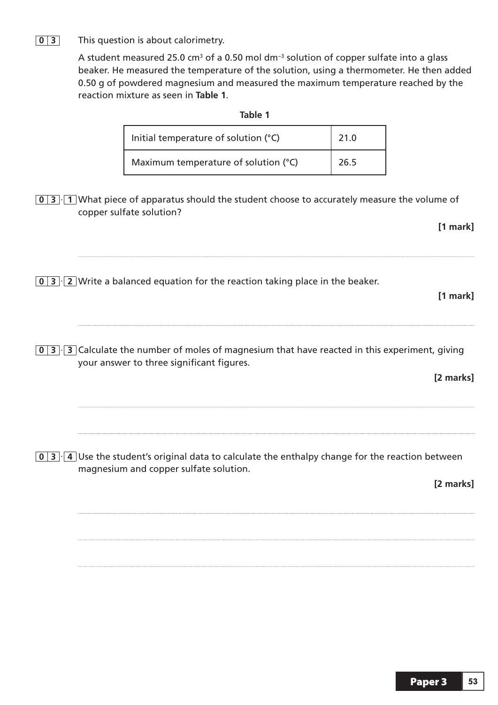### **0 3** This question is about calorimetry.

A student measured 25.0 cm<sup>3</sup> of a 0.50 mol dm<sup>-3</sup> solution of copper sulfate into a glass beaker. He measured the temperature of the solution, using a thermometer. He then added 0.50 g of powdered magnesium and measured the maximum temperature reached by the reaction mixture as seen in **Table 1**.

| Initial temperature of solution (°C) | 21.0 |
|--------------------------------------|------|
| Maximum temperature of solution (°C) | 26.5 |

**0 3** · **1** What piece of apparatus should the student choose to accurately measure the volume of copper sulfate solution?

**[1 mark]**

**[1 mark]**

- **0 3** · **2** Write a balanced equation for the reaction taking place in the beaker.
- **0 3** · **3** Calculate the number of moles of magnesium that have reacted in this experiment, giving your answer to three significant figures.

**[2 marks]**

**0 3** · **4** Use the student's original data to calculate the enthalpy change for the reaction between magnesium and copper sulfate solution.

**[2 marks]**

**Table 1**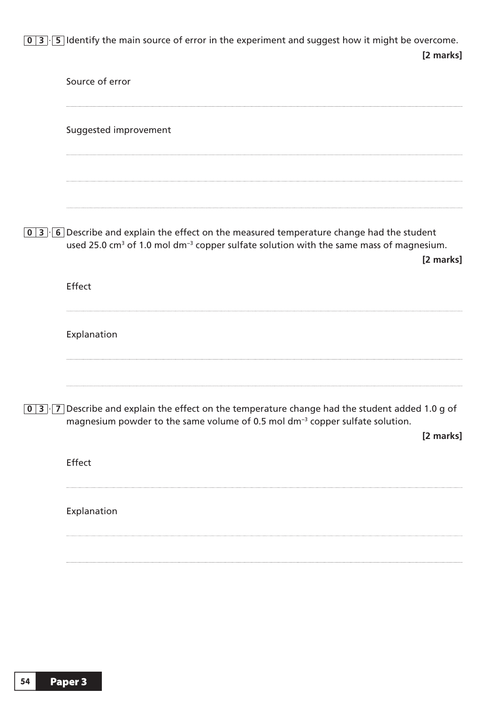**0 3** · **5** Identify the main source of error in the experiment and suggest how it might be overcome. **[2 marks]**

| Source of error                                                                                                                                                                                                                           |  |
|-------------------------------------------------------------------------------------------------------------------------------------------------------------------------------------------------------------------------------------------|--|
| Suggested improvement                                                                                                                                                                                                                     |  |
|                                                                                                                                                                                                                                           |  |
| $\boxed{0}$ 3 $\cdot$ 6 Describe and explain the effect on the measured temperature change had the student<br>used 25.0 cm <sup>3</sup> of 1.0 mol dm <sup>-3</sup> copper sulfate solution with the same mass of magnesium.<br>[2 marks] |  |
| Effect                                                                                                                                                                                                                                    |  |
| Explanation                                                                                                                                                                                                                               |  |
| 0 3 $\cdot$ 7 Describe and explain the effect on the temperature change had the student added 1.0 g of<br>magnesium powder to the same volume of 0.5 mol dm <sup>-3</sup> copper sulfate solution.<br>[2 marks]                           |  |
| Effect                                                                                                                                                                                                                                    |  |
| Explanation                                                                                                                                                                                                                               |  |
|                                                                                                                                                                                                                                           |  |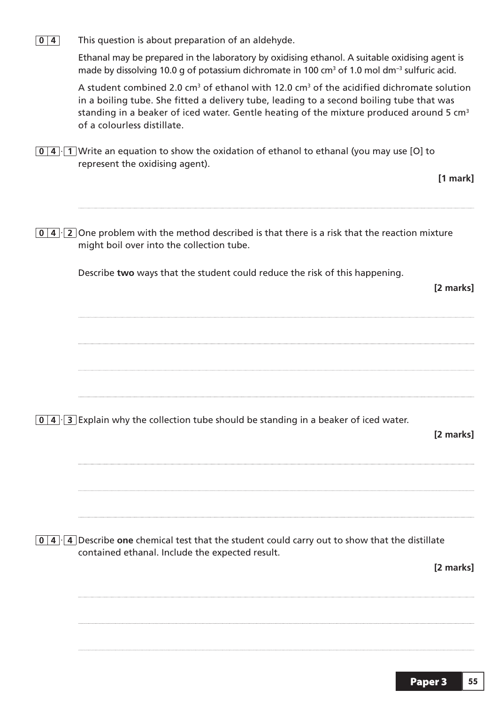**0 4** This question is about preparation of an aldehyde.

 Ethanal may be prepared in the laboratory by oxidising ethanol. A suitable oxidising agent is made by dissolving 10.0 g of potassium dichromate in 100 cm<sup>3</sup> of 1.0 mol dm<sup>-3</sup> sulfuric acid.

A student combined 2.0 cm<sup>3</sup> of ethanol with 12.0 cm<sup>3</sup> of the acidified dichromate solution in a boiling tube. She fitted a delivery tube, leading to a second boiling tube that was standing in a beaker of iced water. Gentle heating of the mixture produced around 5  $cm<sup>3</sup>$ of a colourless distillate.

**0 4** · **1** Write an equation to show the oxidation of ethanol to ethanal (you may use [O] to represent the oxidising agent).

**0 4** · **2** One problem with the method described is that there is a risk that the reaction mixture might boil over into the collection tube. Describe **two** ways that the student could reduce the risk of this happening. **[2 marks] 0 4** · **3** Explain why the collection tube should be standing in a beaker of iced water. **[2 marks] 0 4** · **4** Describe **one** chemical test that the student could carry out to show that the distillate contained ethanal. Include the expected result. **[2 marks]**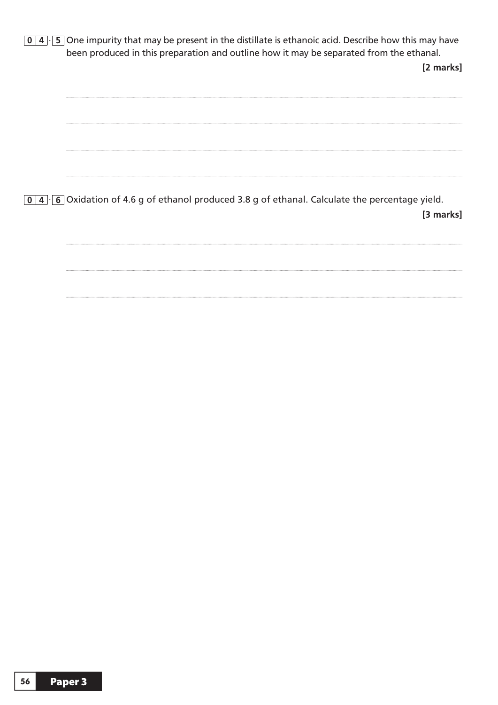**0 4** · **5** One impurity that may be present in the distillate is ethanoic acid. Describe how this may have been produced in this preparation and outline how it may be separated from the ethanal. **[2 marks]**  $\cdots$ **0 4** · **6** Oxidation of 4.6 g of ethanol produced 3.8 g of ethanal. Calculate the percentage yield. **[3 marks]**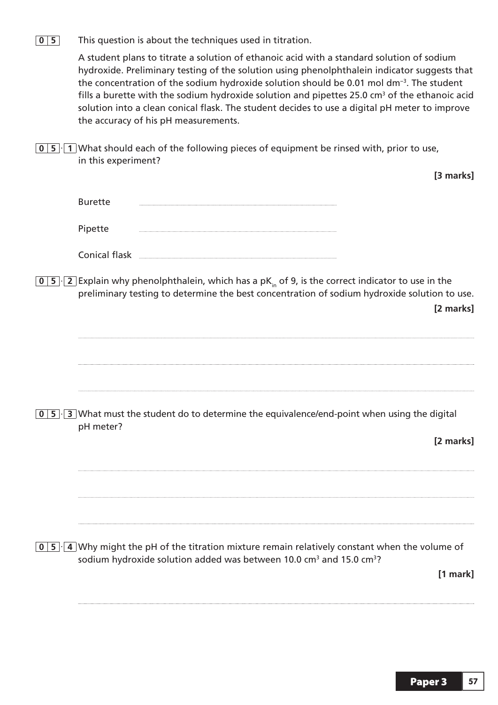**0 5** This question is about the techniques used in titration.

 A student plans to titrate a solution of ethanoic acid with a standard solution of sodium hydroxide. Preliminary testing of the solution using phenolphthalein indicator suggests that the concentration of the sodium hydroxide solution should be 0.01 mol dm−3. The student fills a burette with the sodium hydroxide solution and pipettes 25.0 cm<sup>3</sup> of the ethanoic acid solution into a clean conical flask. The student decides to use a digital pH meter to improve the accuracy of his pH measurements.

**0 5** · **1** What should each of the following pieces of equipment be rinsed with, prior to use, in this experiment?

|                                                                                                                                                                                                                            | [3 marks] |
|----------------------------------------------------------------------------------------------------------------------------------------------------------------------------------------------------------------------------|-----------|
| <b>Burette</b>                                                                                                                                                                                                             |           |
| Pipette                                                                                                                                                                                                                    |           |
| Conical flask                                                                                                                                                                                                              |           |
| 0   5 $\cdot$   2   Explain why phenolphthalein, which has a pK <sub>in</sub> of 9, is the correct indicator to use in the<br>preliminary testing to determine the best concentration of sodium hydroxide solution to use. | [2 marks] |
|                                                                                                                                                                                                                            |           |
| $0 \mid 5 \mid 3$ What must the student do to determine the equivalence/end-point when using the digital<br>pH meter?                                                                                                      |           |
|                                                                                                                                                                                                                            | [2 marks] |
|                                                                                                                                                                                                                            |           |
| $\overline{0}$   5 $\cdot$   4 Why might the pH of the titration mixture remain relatively constant when the volume of<br>sodium hydroxide solution added was between 10.0 cm <sup>3</sup> and 15.0 cm <sup>3</sup> ?      | [1 mark]  |
|                                                                                                                                                                                                                            |           |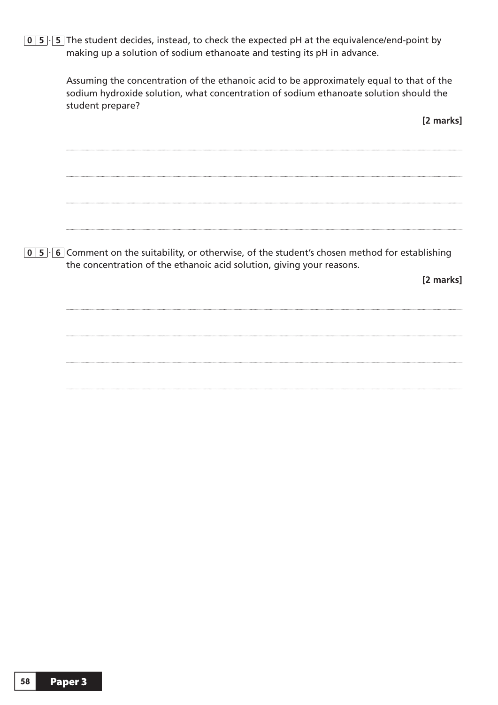**0 5** · **5** The student decides, instead, to check the expected pH at the equivalence/end-point by making up a solution of sodium ethanoate and testing its pH in advance.

> Assuming the concentration of the ethanoic acid to be approximately equal to that of the sodium hydroxide solution, what concentration of sodium ethanoate solution should the student prepare?

> > **[2 marks]**

**0 5** · **6** Comment on the suitability, or otherwise, of the student's chosen method for establishing the concentration of the ethanoic acid solution, giving your reasons.

**[2 marks]**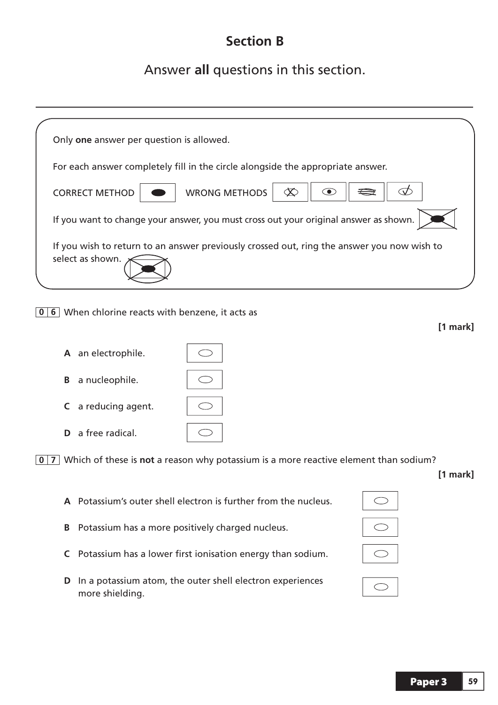## **Section B**

## Answer **all** questions in this section.

|              | Only one answer per question is allowed.                                                                       |            |
|--------------|----------------------------------------------------------------------------------------------------------------|------------|
|              | For each answer completely fill in the circle alongside the appropriate answer.                                |            |
|              | <b>WRONG METHODS</b><br>$\infty$<br><b>CORRECT METHOD</b><br>$\zeta$<br>(●)                                    |            |
|              | If you want to change your answer, you must cross out your original answer as shown.                           |            |
|              | If you wish to return to an answer previously crossed out, ring the answer you now wish to<br>select as shown. |            |
| $\mathbf{0}$ | 6 When chlorine reacts with benzene, it acts as                                                                | $[1$ mark] |
|              | A an electrophile.                                                                                             |            |
|              | a nucleophile.<br>B                                                                                            |            |
|              | a reducing agent.<br>C                                                                                         |            |
|              | a free radical.<br>D.                                                                                          |            |
|              | $\boxed{0}$ 7 Which of these is not a reason why potassium is a more reactive element than sodium?             |            |
|              | A Potassium's outer shell electron is further from the nucleus.                                                | [1 mark]   |
|              | Potassium has a more positively charged nucleus.<br>B                                                          |            |

**D** In a potassium atom, the outer shell electron experiences

more shielding.

**C** Potassium has a lower first ionisation energy than sodium.

## $\bigcirc$

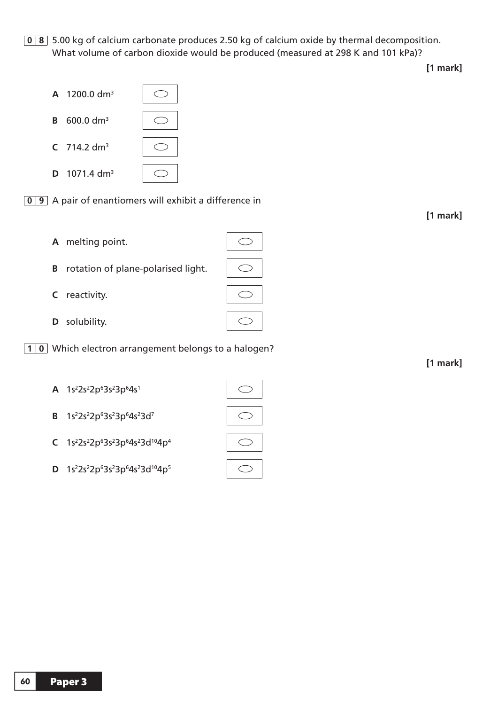**0 8** 5.00 kg of calcium carbonate produces 2.50 kg of calcium oxide by thermal decomposition. What volume of carbon dioxide would be produced (measured at 298 K and 101 kPa)?

**[1 mark]**

**0 9** A pair of enantiomers will exhibit a difference in

 $\bigcirc$ 

 **A** melting point.

 **A** 1200.0 dm3

**B** 600.0 dm3

**C** 714.2 dm3

**D** 1071.4 dm3

- **B** rotation of plane-polarised light.
- **C** reactivity.
- **D** solubility.
- **10** Which electron arrangement belongs to a halogen?
- $A$  1s<sup>2</sup>2s<sup>2</sup>2p<sup>6</sup>3s<sup>2</sup>3p<sup>6</sup>4s<sup>1</sup>
	- **B** 1s<sup>2</sup>2s<sup>2</sup>2p<sup>6</sup>3s<sup>2</sup>3p<sup>6</sup>4s<sup>2</sup>3d<sup>7</sup>
	- C 1s<sup>2</sup>2s<sup>2</sup>2p<sup>6</sup>3s<sup>2</sup>3p<sup>6</sup>4s<sup>2</sup>3d<sup>10</sup>4p<sup>4</sup>
	- **D** 1s<sup>2</sup>2s<sup>2</sup>2p<sup>6</sup>3s<sup>2</sup>3p<sup>6</sup>4s<sup>2</sup>3d<sup>10</sup>4p<sup>5</sup>





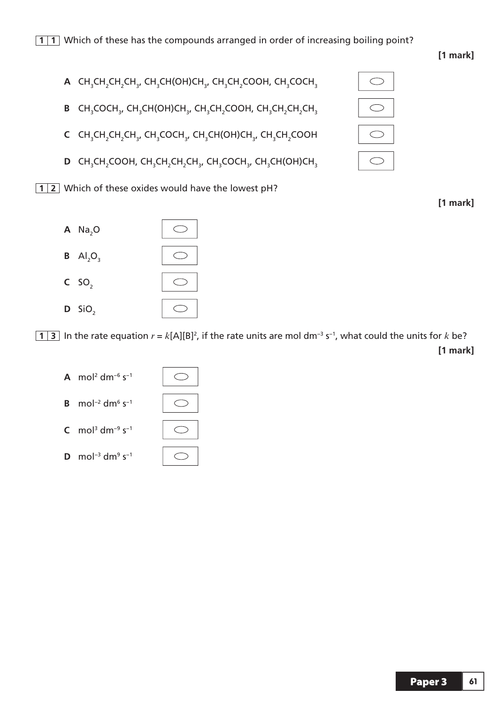- **A**  $CH_3CH_2CH_2CH_3$ ,  $CH_3CH(OH)CH_3$ ,  $CH_3CH_2COOH$ ,  $CH_3COCH_3$ 
	- **B** CH<sub>3</sub>COCH<sub>3</sub>, CH<sub>3</sub>CH<sub>3</sub>CH<sub>3</sub>CH<sub>3</sub>COOH, CH<sub>3</sub>CH<sub>2</sub>CH<sub>3</sub>CH<sub>3</sub>
	- **C** CH<sub>3</sub>CH<sub>2</sub>CH<sub>2</sub>CH<sub>3</sub>COCH<sub>3</sub>, CH<sub>3</sub>CH(OH)CH<sub>3</sub>, CH<sub>3</sub>CH<sub>2</sub>COOH
	- **D** CH<sub>3</sub>CH<sub>2</sub>COOH, CH<sub>3</sub>CH<sub>2</sub>CH<sub>2</sub>CH<sub>3</sub>, CH<sub>3</sub>COCH<sub>3</sub>, CH<sub>3</sub>CH(OH)CH<sub>3</sub>

 $\bigcirc$ 

 $\bigcirc$ 

**12** Which of these oxides would have the lowest pH?



 $\bigcirc$  $\bigcirc$  $\bigcirc$  $\bigcirc$ 

**[1 mark]**

**1 3** In the rate equation  $r = k[A][B]^2$ , if the rate units are mol dm<sup>-3</sup> s<sup>-1</sup>, what could the units for  $k$  be? **[1 mark]**



- **C** mol<sup>3</sup> dm<sup>-9</sup> s<sup>-1</sup>
- **D** mol<sup>-3</sup> dm<sup>9</sup> s<sup>-1</sup>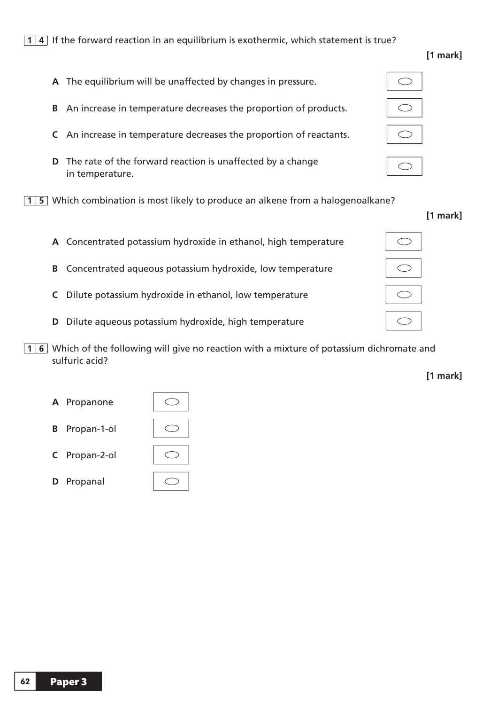#### **1 4** If the forward reaction in an equilibrium is exothermic, which statement is true?

 **A** The equilibrium will be unaffected by changes in pressure.

- **B** An increase in temperature decreases the proportion of products. **C** An increase in temperature decreases the proportion of reactants. **D** The rate of the forward reaction is unaffected by a change in temperature. **15** Which combination is most likely to produce an alkene from a halogenoalkane?  **A** Concentrated potassium hydroxide in ethanol, high temperature **B** Concentrated aqueous potassium hydroxide, low temperature
	- **C** Dilute potassium hydroxide in ethanol, low temperature
	- **D** Dilute aqueous potassium hydroxide, high temperature

 $\bigcirc$ 

**1 6** Which of the following will give no reaction with a mixture of potassium dichromate and sulfuric acid?



**D** Propanal



 $\bigcirc$ 

**[1 mark]**

| r. |  |
|----|--|
|    |  |
|    |  |

**[1 mark]**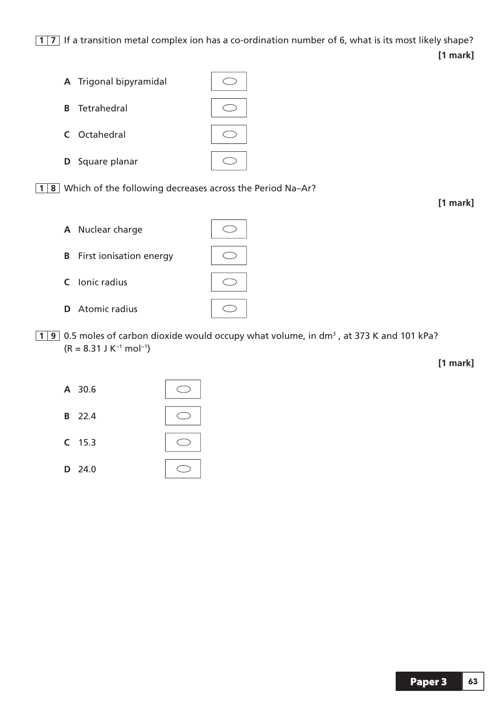**17** If a transition metal complex ion has a co-ordination number of 6, what is its most likely shape? **[1 mark]**



**18** Which of the following decreases across the Period Na-Ar?



**1** 9 0.5 moles of carbon dioxide would occupy what volume, in dm<sup>3</sup>, at 373 K and 101 kPa?  $(R = 8.31$  J K<sup>-1</sup> mol<sup>-1</sup>)

**[1 mark]**

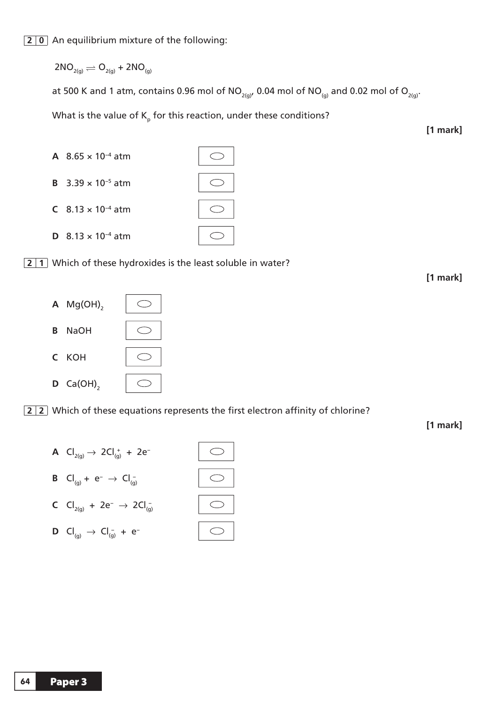## **2 0** An equilibrium mixture of the following:

$$
2NO_{2(g)} \rightleftharpoons O_{2(g)} + 2NO_{(g)}
$$

at 500 K and 1 atm, contains 0.96 mol of  $NO_{2(g)}$ , 0.04 mol of  $NO_{(g)}$  and 0.02 mol of  $O_{2(g)}$ .

What is the value of  $\mathsf{K}_\mathsf{p}$  for this reaction, under these conditions?

**[1 mark]**



**2 1** Which of these hydroxides is the least soluble in water?

**[1 mark]**



**2 2** Which of these equations represents the first electron affinity of chlorine?

**[1 mark]**

- **A**  $Cl_{2(g)} \rightarrow 2Cl_{(g)}^+ + 2e^-$ 
	- **B**  $Cl_{(g)} + e^- \rightarrow Cl_{(g)}^-$
	- **C**  $Cl_{2(g)} + 2e^-$  →  $2Cl_{(g)}^-$
- $\bigcirc$

 $\bigcirc$ 

 $\bigcirc$ 

 $\bigcirc$ 

**D**  $Cl_{(g)} \to Cl_{(g)}^- + e^-$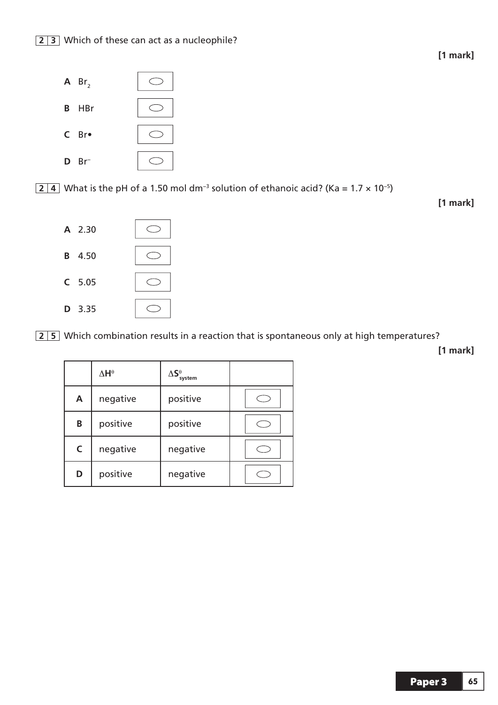

**2 4** What is the pH of a 1.50 mol dm<sup>-3</sup> solution of ethanoic acid? (Ka = 1.7 × 10<sup>-5</sup>)

**[1 mark]**



**2 5** Which combination results in a reaction that is spontaneous only at high temperatures?

**[1 mark]**

|              | $\Delta H^\theta$ | $\Delta \boldsymbol{\mathsf{S}}^{\boldsymbol{\theta}}_{\mathsf{system}}$ |  |
|--------------|-------------------|--------------------------------------------------------------------------|--|
| A            | negative          | positive                                                                 |  |
| B            | positive          | positive                                                                 |  |
| $\mathsf{C}$ | negative          | negative                                                                 |  |
| D            | positive          | negative                                                                 |  |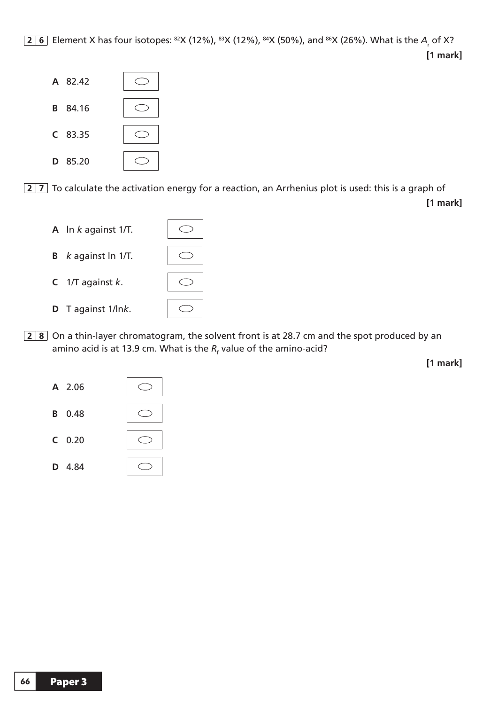<mark>2 | 6</mark> | Element X has four isotopes: <sup>82</sup>X (12%), <sup>83</sup>X (12%), <sup>84</sup>X (50%), and <sup>86</sup>X (26%). What is the *A<sub>r</sub>* of X? **[1 mark]**



**2 7** To calculate the activation energy for a reaction, an Arrhenius plot is used: this is a graph of **[1 mark]**



**2 8** On a thin-layer chromatogram, the solvent front is at 28.7 cm and the spot produced by an amino acid is at 13.9 cm. What is the  $R_{_{\rm f}}$  value of the amino-acid?

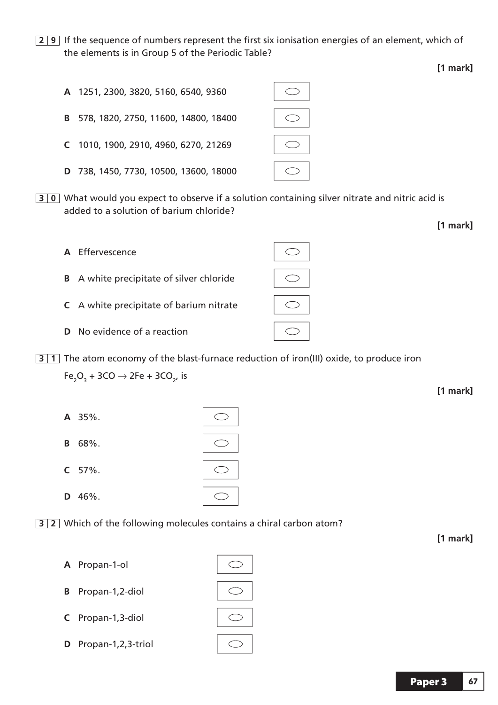**2 9** If the sequence of numbers represent the first six ionisation energies of an element, which of the elements is in Group 5 of the Periodic Table?

- **A** 1251, 2300, 3820, 5160, 6540, 9360  $\bigcirc$ **B** 578, 1820, 2750, 11600, 14800, 18400 **C** 1010, 1900, 2910, 4960, 6270, 21269  $\bigcirc$ **D** 738, 1450, 7730, 10500, 13600, 18000  $\bigcirc$
- **3 0** What would you expect to observe if a solution containing silver nitrate and nitric acid is added to a solution of barium chloride?



**3 1** The atom economy of the blast-furnace reduction of iron(III) oxide, to produce iron  $Fe<sub>2</sub>O<sub>3</sub> + 3CO \rightarrow 2Fe + 3CO<sub>2</sub>$ , is

 $\bigcirc$ 

- **A** 35%.
- **B** 68%.
- **C** 57%.
- **D** 46%.

**3 2** Which of the following molecules contains a chiral carbon atom?

- **A** Propan-1-ol
- **B** Propan-1,2-diol
- **C** Propan-1,3-diol
- **D** Propan-1,2,3-triol

**[1 mark]**

**[1 mark]**

**[1 mark]**

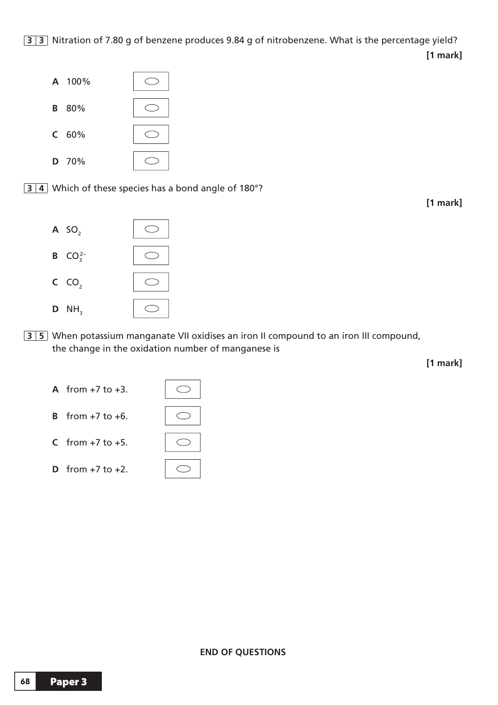

**3 4** Which of these species has a bond angle of 180°?

**[1 mark]**



**3 5** When potassium manganate VII oxidises an iron II compound to an iron III compound, the change in the oxidation number of manganese is

**[1 mark]**

- **A** from +7 to +3.
- **B** from +7 to +6.
- **C** from  $+7$  to  $+5$ .
- **D** from  $+7$  to  $+2$ .



 $\bigcirc$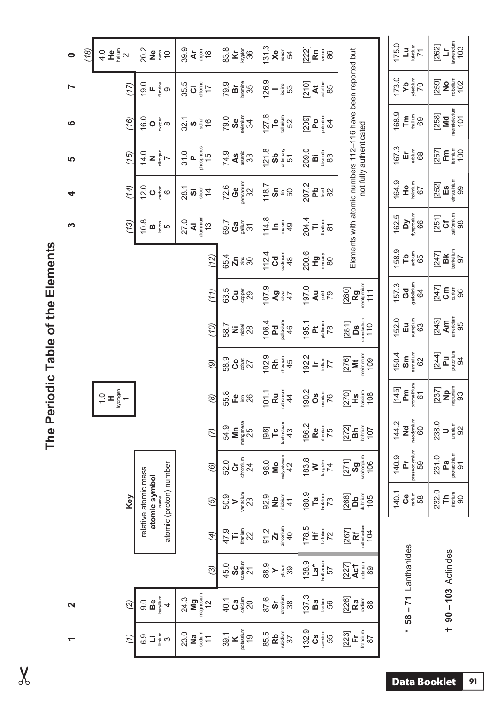| j                       |
|-------------------------|
| 5                       |
| I                       |
| č<br>D<br>$\frac{1}{2}$ |
| ŕ<br>o<br>S             |

 $\frac{1}{2}$ 

| $\bullet$         | (18)<br>4.0   | helium<br>운<br>$\sim$     | 20.2<br>$\frac{1}{2}$<br>$\widetilde{\phantom{a}}$                      | 39.9<br>$\frac{8}{18}$<br>$\mathbf{\dot{A}}$                          | krypton<br>36<br>83.8<br>$\overline{\mathbf{x}}$                         | 131.3<br><b>Xe</b><br>54                                                      | 222<br>$\mathbf{\tilde{E}}$ $\frac{5}{8}$ $\frac{6}{8}$                               |                                                                                                                                             | 175.0<br>$\frac{L}{L}$<br>$\overline{7}$          | $\begin{array}{c}\n\mathbf{Lr} \\ \hline\n\text{lawencium} \\ 103\n\end{array}$<br>[262]   |
|-------------------|---------------|---------------------------|-------------------------------------------------------------------------|-----------------------------------------------------------------------|--------------------------------------------------------------------------|-------------------------------------------------------------------------------|---------------------------------------------------------------------------------------|---------------------------------------------------------------------------------------------------------------------------------------------|---------------------------------------------------|--------------------------------------------------------------------------------------------|
| N                 |               | (17)                      | $L$ is the fluoring<br>19.0<br>$\circ$                                  | chlorine<br>17<br>35.5<br>$\overline{\circ}$                          | 35<br>79.9<br>òr                                                         | 126.9<br>iodine<br>53                                                         | astatine<br>85<br>[210]<br>$\sharp$                                                   |                                                                                                                                             | 173.0<br>ytterbium<br>ÅЯ<br>70                    | <b>No</b><br>neelium<br>102<br>[259]                                                       |
| $\bullet$         |               | (16)                      | oxygen<br>8<br>16.0<br>$\circ$                                          | $\frac{321}{9}$<br>$rac{1}{3}$ (6                                     | $S_{\text{e}}$<br>79.0<br>34                                             | 127.6<br>$\begin{array}{c}\n\bullet \\ \bullet \\ \hline\n\end{array}$<br>52  | $\frac{1}{2}$<br>[209]                                                                |                                                                                                                                             | 168.9<br>$E_{\frac{1}{2}}^{\text{sp}}$ 89         | $\mathbf{M} \mathbf{d}$<br>mendelevium<br>101<br>[258]                                     |
| 5                 |               | (15)                      | $\frac{1}{2}$<br>14.0                                                   | phosphorus<br>$15$<br>31.0<br><u>a</u>                                | arsenic<br>74.9<br>$\overline{a}$<br>33                                  | 121.8<br>$\frac{3b}{\text{diam}}$<br>51                                       | 209.0<br>bismuth<br>ö<br>83                                                           | not fully authenticated                                                                                                                     | 167.3<br>$\overline{\mathbf{H}}$ $\frac{1}{6}$ 88 | $\begin{array}{c} \mathsf{Fm} \\ \mathsf{Fm} \\ \mathsf{Fm} \end{array}$<br>[257]          |
| 4                 |               | (14)                      | 12.0<br>$\mathbf{O}$ of<br>$\circ$                                      | silicon<br>28.1<br>$\overline{4}$<br>$\overline{\omega}$              | gemanium<br>72.6<br>ල<br>උ<br>32                                         | 118.7<br>Sn<br>$\stackrel{\scriptscriptstyle \pm}{\scriptscriptstyle \pm} 50$ | 207.2<br>Ъb<br>$rac{8}{8}$ $\frac{8}{8}$                                              |                                                                                                                                             | 164.9<br>$\frac{1}{2}$<br>67                      | $\begin{array}{c}\n\text{Es} \\ \text{instein} \\ 00\n\end{array}$<br>[252]                |
| က                 |               | (13)                      | 10.8<br>$\mathbf{m}$ $_\mathrm{gen}^\mathrm{eq}$<br>LO                  | aluminium<br>27.0<br>₹<br>$\frac{3}{2}$                               | gallium<br>69.7<br>ලි<br><br>$\overline{3}$                              | 114.8<br>indium<br>$\mathbf{a}$<br>$\overline{4}$                             | 204.4<br>thallium<br>F<br>$\overline{\infty}$                                         | Elements with atomic numbers 112-116 have been reported but                                                                                 | Dy<br>dysprosium<br>66<br>162.5                   | $rac{2}{\sqrt{5}}$<br>[251]                                                                |
|                   |               |                           |                                                                         | (12)                                                                  | 65.4<br>$\sum_{\vec{n}} \frac{\vec{p}}{\vec{p}} \frac{\vec{p}}{\vec{p}}$ | Cd<br>112.4<br>48                                                             | 200.6<br>$\mathbf{P}_{\text{geo}}^{\text{max}}$                                       |                                                                                                                                             | 158.9<br>$\mathbf{L}$<br>65                       | $\frac{\text{B K}}{\text{Ber}(k)}$<br>[247]                                                |
|                   |               |                           |                                                                         | (11)                                                                  | 63.5<br>copper<br>$\vec{c}$<br>29                                        | 107.9<br>$\frac{1}{2}$<br>$\frac{1}{2}$                                       | 197.0<br><b>PER</b>                                                                   | $Rg$<br>nontgenium<br>111<br>[280]                                                                                                          | gadolinium<br>64<br>157.3<br>Gd                   | [247]<br>$\overline{G}$ $\frac{5}{3}$ $\frac{6}{3}$                                        |
|                   |               |                           |                                                                         | (10)                                                                  | 58.7<br><b>Nis</b><br>28                                                 | palladium<br>106.4<br>Pd<br>46                                                | platinum<br>78<br>195.1<br><u>t</u>                                                   | $\frac{\mathsf{Ds}}{\mathsf{d} \mathsf{a} \mathsf{m} \mathsf{B} \mathsf{d} \mathsf{b} \mathsf{m}}$<br>[281]                                 | europium<br>63<br>152.0<br>$\mathbf{H}$           | $\frac{\text{A}}{\text{m}}$<br>95<br>[243]                                                 |
|                   |               |                           |                                                                         | $\circledcirc$                                                        | 58.9<br>$\frac{8}{3}$                                                    | 102.9<br>$\mathbf{E}_{\text{de} \text{time}}$                                 | 192.2<br>iridium<br>77<br>$\equiv$                                                    | meitnerium<br>109<br>[276]<br>ž                                                                                                             | $\frac{\mathsf{Sm}}{\mathsf{sm}}$<br>150.4<br>62  | $\frac{1}{2}$<br>$\frac{1}{2}$<br>$\frac{1}{2}$<br>$\frac{1}{2}$<br>$\frac{1}{2}$<br>[244] |
|                   | $\frac{0}{1}$ | hydrogen<br>1<br><b>x</b> |                                                                         | $\circledB$                                                           | 55.8<br>٩<br>$\frac{5}{2}$                                               | Ru<br>ruthenium<br>01.1<br>$\overline{4}$<br>$\overline{\phantom{0}}$         | 190.2<br>osmium<br>°S<br>76                                                           | hassium<br>[270]<br>108<br>Ϋ́                                                                                                               | Pm<br>promethium<br>[145]<br>61                   | $\frac{\mathbf{p}}{\mathbf{p}}$<br>[237]                                                   |
|                   |               |                           |                                                                         | $\overline{C}$                                                        | manganese<br>25<br>54.9<br>Σm                                            | $T_{\rm c}$<br>technetium<br>$[98]$<br>43                                     | 186.2<br>rhenium<br>Re<br>75                                                          | $\frac{10}{107}$<br>[272]<br>a<br>Bh                                                                                                        | $Md$<br>neodymium<br>60<br>144.2                  | 238.0<br>$\frac{1}{92}$<br>$\Rightarrow$                                                   |
|                   |               |                           |                                                                         | $\circledcirc$                                                        | chromium<br>52.0<br>ö<br>24                                              | $M_o$<br>molybdenum<br>42<br>96.0                                             | 183.8<br>tungsten $74$<br>$\geq$                                                      | $\frac{\text{sg}}{\text{g}}$<br>$\frac{\text{sgnum}}{\text{g}}$<br>[271]                                                                    | praseodymium<br>59<br>140.9<br>È                  | Pa<br>protectinium<br>97<br>231.0                                                          |
|                   |               | Key                       | atomic (proton) number<br>relative atomic mass<br>atomic symbol<br>name | (5)                                                                   | vanadium<br>50.9<br>23<br>$\geq$                                         | $\frac{1}{2}$<br>$\frac{1}{2}$<br>$\frac{1}{2}$<br>92.9                       | 180.9<br>$\begin{array}{c} \textbf{Ta} \\ \textbf{a} \\ \textbf{b} \end{array}$<br>73 | <b>Db</b><br>dubnium<br>[268]<br>105                                                                                                        | 140.1<br>$\mathbf{c}_{\text{e}}$<br>58            | 232.0<br>$F_{\frac{5}{2}00}$                                                               |
|                   |               |                           |                                                                         | $\overline{4}$                                                        | $\begin{array}{c} \frac{1}{2} \\ 22 \end{array}$<br>47.9<br>Ti           | zirconium<br>91.2<br>$\overline{\mathbf{r}}$<br>$\overline{40}$               | 178.5<br>hafnium<br>72<br>Ï                                                           | $[267] \label{eq:267} \begin{array}{c} \text{Rf} \\ \text{Rf} \\ \text{Mf} \\ \text{Mf} \\ \text{Mf} \\ \text{Mf} \\ \text{Mf} \end{array}$ |                                                   |                                                                                            |
|                   |               |                           |                                                                         | $\odot$                                                               | $\frac{1}{2}$<br>45.0<br>$\overline{\mathcal{E}}$                        | 88.9<br>yttrium<br>39<br>$\succ$                                              | $\begin{array}{c}\n\mathbf{La^*} \\ \hline\n\end{array}$<br>138.9<br>57               | Act<br>actinium<br>[227]<br>89                                                                                                              |                                                   |                                                                                            |
| $\mathbf{\Omega}$ |               | $\overline{2}$            | Be<br>beryllium<br>$\overline{0}$ .<br>4                                | Mg<br><sub>magnesium</sub><br>12<br>24.3                              | calcium<br>40.1<br><b>Ca</b><br>$\overline{c}$                           | $rac{S}{\sin \theta}$<br>87.6<br>38                                           | 137.3<br>barium<br>Ba<br>56                                                           | [226]<br>Ra<br>88                                                                                                                           | $58 - 71$ Lanthanides                             | $+ 90 - 103$ Actinides                                                                     |
| ↽                 |               | $\overline{t}$            | <b>∃</b> ∲້<br>6.9                                                      | sodium<br>23.0<br>$\overline{\mathbf{z}}$<br>$\overline{\mathcal{L}}$ | potassium<br>39.1<br>$\frac{1}{2}$<br>$\geq$                             | $\frac{Rb}{\text{volume}}$<br>85.5                                            | 132.9<br>$\frac{3}{2}$                                                                | francium<br>87<br>[23]<br>$\mathbb{H}$                                                                                                      | $\ast$                                            |                                                                                            |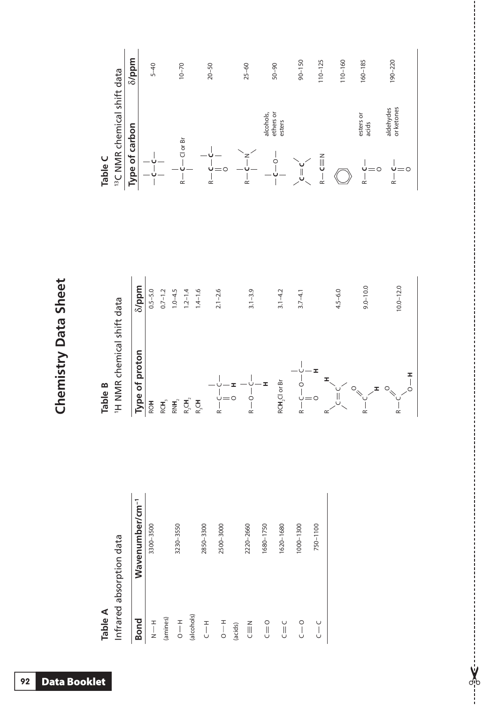| C                            |
|------------------------------|
|                              |
| ť                            |
| r                            |
| $\frac{1}{2}$<br>ŀ<br>Ξ<br>ſ |
|                              |
| r                            |
|                              |
| ī                            |
|                              |
|                              |
|                              |

| ⋖      |  |
|--------|--|
| ω      |  |
| ≏<br>₽ |  |
|        |  |

Infrared absorption data Infrared absorption data

| <b>Bond</b>        | Wavenumber/cm <sup>-1</sup> |
|--------------------|-----------------------------|
| $\frac{1}{2}$      | 3300-3500                   |
| (amines)           |                             |
| $-10$              | 3230-3550                   |
| (alcohols)         |                             |
| $\overline{a}$     | 2850-3300                   |
| $\frac{1}{10}$     | 2500-3000                   |
| (acids)            |                             |
| N<br>ED            | 2220-2660                   |
| $\overline{C} = 0$ | 1680-1750                   |
| U<br>U             | 1620-1680                   |
| $\circ$            | 1000-1300                   |
| ٺ                  | 750-1100                    |

 $-36$ 

O



|                                         | $\delta$ /ppm | $5 - 40$ | $10 - 70$          | $20 - 50$   | $25 - 60$ | $50 - 90$                        | $90 - 150$                | $110 - 125$                             | 110-160 | 160-185            | $190 - 220$             |
|-----------------------------------------|---------------|----------|--------------------|-------------|-----------|----------------------------------|---------------------------|-----------------------------------------|---------|--------------------|-------------------------|
| <sup>13</sup> C NMR chemical shift data | carbon<br>ð   |          | Clor <sub>Br</sub> |             |           | ethers or<br>alcohols,<br>esters |                           |                                         |         | esters or<br>acids | or ketones<br>aldehydes |
| Table C                                 | Type          |          | ≃                  | Ü<br>O<br>∝ | $\approx$ |                                  | $\mathsf{C} = \mathsf{C}$ | $\mathsf{C}$<br>$\overline{\mathbf{r}}$ |         | O<br>๔             | $\overset{.}{\cong}$    |